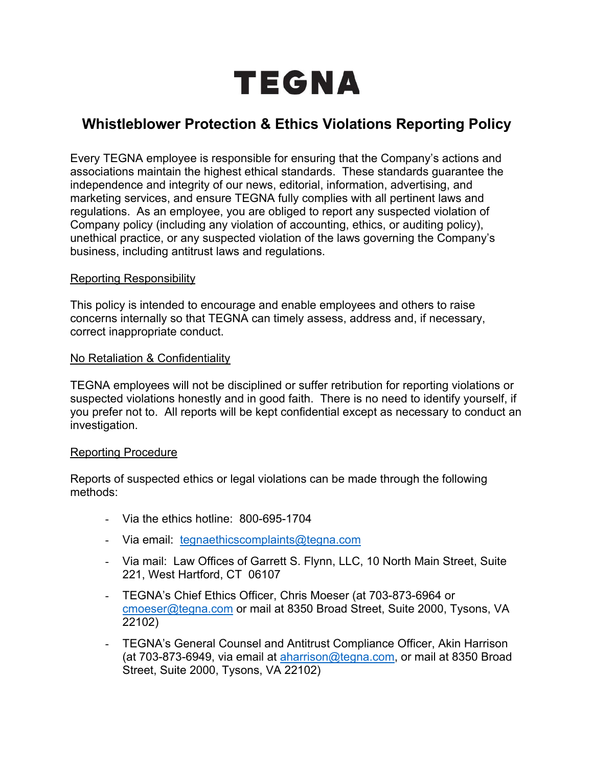

# **Whistleblower Protection & Ethics Violations Reporting Policy**

Every TEGNA employee is responsible for ensuring that the Company's actions and associations maintain the highest ethical standards. These standards guarantee the independence and integrity of our news, editorial, information, advertising, and marketing services, and ensure TEGNA fully complies with all pertinent laws and regulations. As an employee, you are obliged to report any suspected violation of Company policy (including any violation of accounting, ethics, or auditing policy), unethical practice, or any suspected violation of the laws governing the Company's business, including antitrust laws and regulations.

### Reporting Responsibility

This policy is intended to encourage and enable employees and others to raise concerns internally so that TEGNA can timely assess, address and, if necessary, correct inappropriate conduct.

### No Retaliation & Confidentiality

TEGNA employees will not be disciplined or suffer retribution for reporting violations or suspected violations honestly and in good faith. There is no need to identify yourself, if you prefer not to. All reports will be kept confidential except as necessary to conduct an investigation.

#### Reporting Procedure

Reports of suspected ethics or legal violations can be made through the following methods:

- Via the ethics hotline: 800-695-1704
- Via email: tegnaethicscomplaints@tegna.com
- Via mail: Law Offices of Garrett S. Flynn, LLC, 10 North Main Street, Suite 221, West Hartford, CT 06107
- TEGNA's Chief Ethics Officer, Chris Moeser (at 703-873-6964 or cmoeser@tegna.com or mail at 8350 Broad Street, Suite 2000, Tysons, VA 22102)
- TEGNA's General Counsel and Antitrust Compliance Officer, Akin Harrison (at 703-873-6949, via email at aharrison@tegna.com, or mail at 8350 Broad Street, Suite 2000, Tysons, VA 22102)